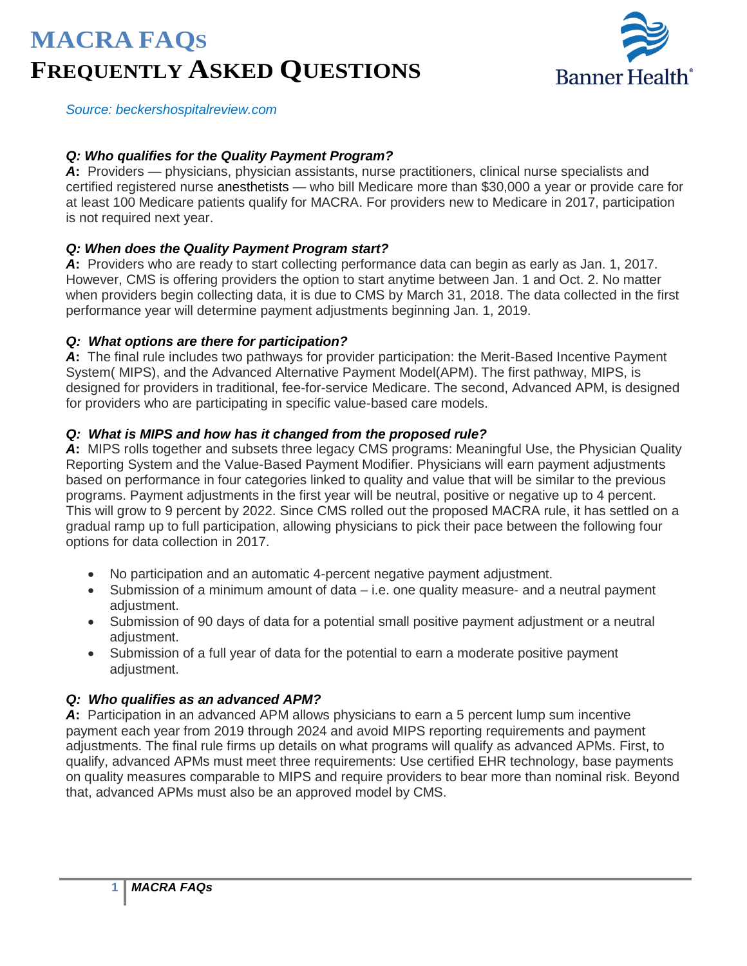# **MACRA FAQS FREQUENTLY ASKED QUESTIONS**



 $P$ Source: beckershospitalreview.com

#### *Q: Who qualifies for the Quality Payment Program?*

*A***:** Providers — physicians, physician assistants, nurse practitioners, clinical nurse specialists and certified registered nurse anesthetists — who bill Medicare more than \$30,000 a year or provide care for at least 100 Medicare patients qualify for MACRA. For providers new to Medicare in 2017, participation is not required next year.

#### *Q: When does the Quality Payment Program start?*

*A***:** Providers who are ready to start collecting performance data can begin as early as Jan. 1, 2017. However, CMS is offering providers the option to start anytime between Jan. 1 and Oct. 2. No matter when providers begin collecting data, it is due to CMS by March 31, 2018. The data collected in the first performance year will determine payment adjustments beginning Jan. 1, 2019.

#### *Q: What options are there for participation?*

A: The final rule includes two pathways for provider participation: the Merit-Based Incentive Payment System( MIPS), and the Advanced Alternative Payment Model(APM). The first pathway, MIPS, is designed for providers in traditional, fee-for-service Medicare. The second, Advanced APM, is designed for providers who are participating in specific value-based care models.

#### *Q: What is MIPS and how has it changed from the proposed rule?*

*A***:** MIPS rolls together and subsets three legacy CMS programs: Meaningful Use, the Physician Quality Reporting System and the Value-Based Payment Modifier. Physicians will earn payment adjustments based on performance in four categories linked to quality and value that will be similar to the previous programs. Payment adjustments in the first year will be neutral, positive or negative up to 4 percent. This will grow to 9 percent by 2022. Since CMS rolled out the proposed MACRA rule, it has settled on a gradual ramp up to full participation, allowing physicians to pick their pace between the following four options for data collection in 2017.

- No participation and an automatic 4-percent negative payment adjustment.
- Submission of a minimum amount of data i.e. one quality measure- and a neutral payment adiustment.
- Submission of 90 days of data for a potential small positive payment adjustment or a neutral adjustment.
- Submission of a full year of data for the potential to earn a moderate positive payment adjustment.

#### *Q: Who qualifies as an advanced APM?*

*A***:** Participation in an advanced APM allows physicians to earn a 5 percent lump sum incentive payment each year from 2019 through 2024 and avoid MIPS reporting requirements and payment adjustments. The final rule firms up details on what programs will qualify as advanced APMs. First, to qualify, advanced APMs must meet three requirements: Use certified EHR technology, base payments on quality measures comparable to MIPS and require providers to bear more than nominal risk. Beyond that, advanced APMs must also be an approved model by CMS.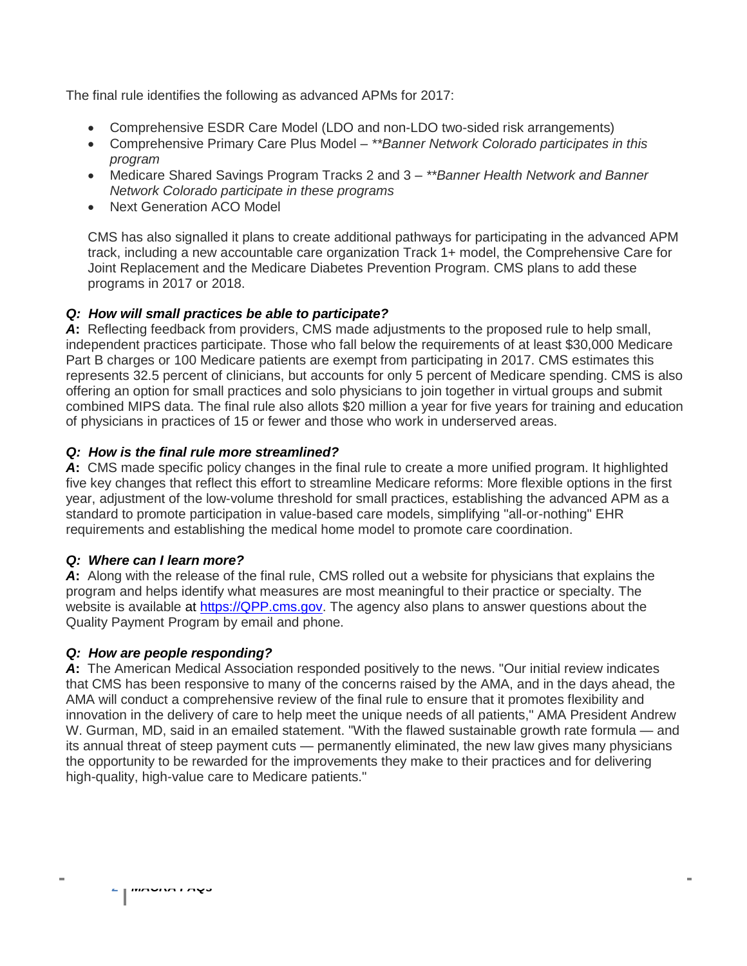The final rule identifies the following as advanced APMs for 2017:

- Comprehensive ESDR Care Model (LDO and non-LDO two-sided risk arrangements)
- Comprehensive Primary Care Plus Model *\*\*Banner Network Colorado participates in this program*
- Medicare Shared Savings Program Tracks 2 and 3 *\*\*Banner Health Network and Banner Network Colorado participate in these programs*
- Next Generation ACO Model

CMS has also signalled it plans to create additional pathways for participating in the advanced APM track, including a new accountable care organization Track 1+ model, the Comprehensive Care for Joint Replacement and the Medicare Diabetes Prevention Program. CMS plans to add these programs in 2017 or 2018.

# *Q: How will small practices be able to participate?*

*A***:** Reflecting feedback from providers, CMS made adjustments to the proposed rule to help small, independent practices participate. Those who fall below the requirements of at least \$30,000 Medicare Part B charges or 100 Medicare patients are exempt from participating in 2017. CMS estimates this represents 32.5 percent of clinicians, but accounts for only 5 percent of Medicare spending. CMS is also offering an option for small practices and solo physicians to join together in virtual groups and submit combined MIPS data. The final rule also allots \$20 million a year for five years for training and education of physicians in practices of 15 or fewer and those who work in underserved areas.

# *Q: How is the final rule more streamlined?*

A: CMS made specific policy changes in the final rule to create a more unified program. It highlighted five key changes that reflect this effort to streamline Medicare reforms: More flexible options in the first year, adjustment of the low-volume threshold for small practices, establishing the advanced APM as a standard to promote participation in value-based care models, simplifying "all-or-nothing" EHR requirements and establishing the medical home model to promote care coordination.

# *Q: Where can I learn more?*

*A***:** Along with the release of the final rule, CMS rolled out a website for physicians that explains the program and helps identify what measures are most meaningful to their practice or specialty. The website is available at [https://QPP.cms.gov.](https://qpp.cms.gov/) The agency also plans to answer questions about the Quality Payment Program by email and phone.

# *Q: How are people responding?*

A: The American Medical Association responded positively to the news. "Our initial review indicates that CMS has been responsive to many of the concerns raised by the AMA, and in the days ahead, the AMA will conduct a comprehensive review of the final rule to ensure that it promotes flexibility and innovation in the delivery of care to help meet the unique needs of all patients," AMA President Andrew W. Gurman, MD, said in an emailed statement. "With the flawed sustainable growth rate formula — and its annual threat of steep payment cuts — permanently eliminated, the new law gives many physicians the opportunity to be rewarded for the improvements they make to their practices and for delivering high-quality, high-value care to Medicare patients."